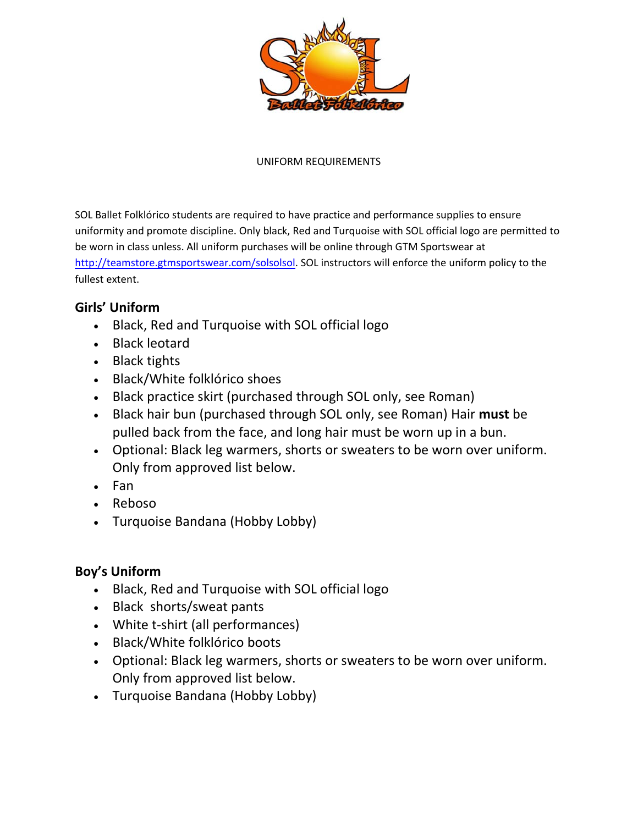

### UNIFORM REQUIREMENTS

SOL Ballet Folklórico students are required to have practice and performance supplies to ensure uniformity and promote discipline. Only black, Red and Turquoise with SOL official logo are permitted to be worn in class unless. All uniform purchases will be online through GTM Sportswear at http://teamstore.gtmsportswear.com/solsolsol. SOL instructors will enforce the uniform policy to the fullest extent.

### **Girls' Uniform**

- Black, Red and Turquoise with SOL official logo
- Black leotard
- Black tights
- Black/White folklórico shoes
- Black practice skirt (purchased through SOL only, see Roman)
- Black hair bun (purchased through SOL only, see Roman) Hair **must** be pulled back from the face, and long hair must be worn up in a bun.
- Optional: Black leg warmers, shorts or sweaters to be worn over uniform. Only from approved list below.
- Fan
- Reboso
- Turquoise Bandana (Hobby Lobby)

### **Boy's Uniform**

- Black, Red and Turquoise with SOL official logo
- Black shorts/sweat pants
- White t‐shirt (all performances)
- Black/White folklórico boots
- Optional: Black leg warmers, shorts or sweaters to be worn over uniform. Only from approved list below.
- Turquoise Bandana (Hobby Lobby)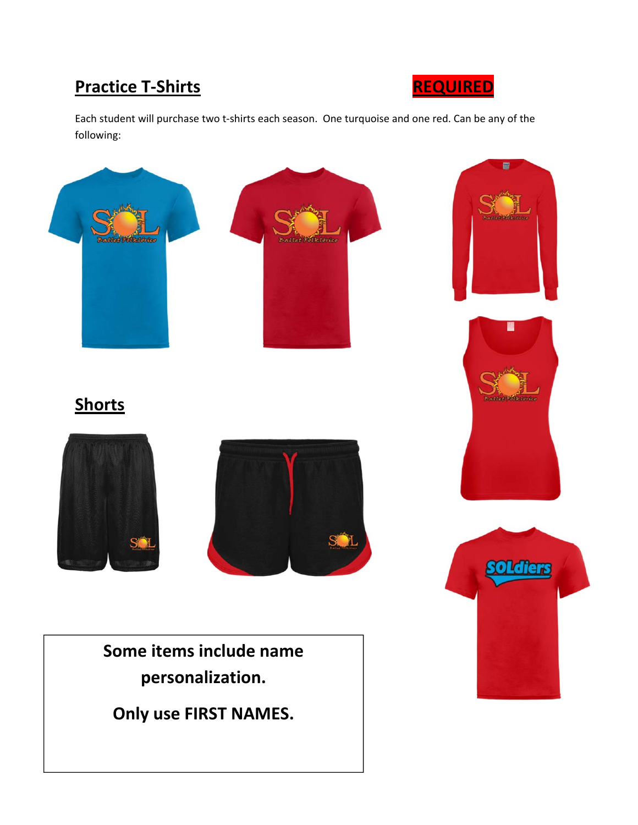### **Practice T‐Shirts REQUIRED**



Each student will purchase two t‐shirts each season. One turquoise and one red. Can be any of the following:

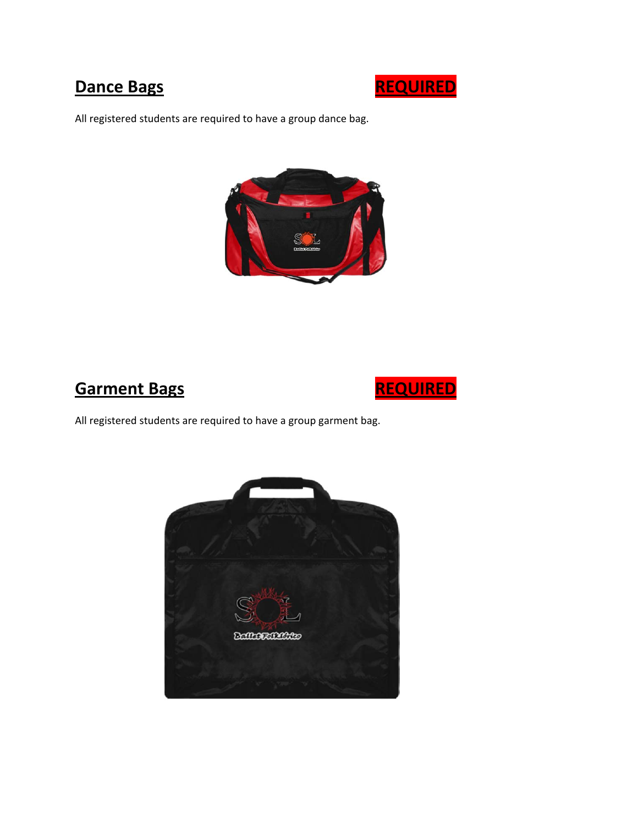

All registered students are required to have a group dance bag.



# **Garment Bags REQUIRED**



All registered students are required to have a group garment bag.

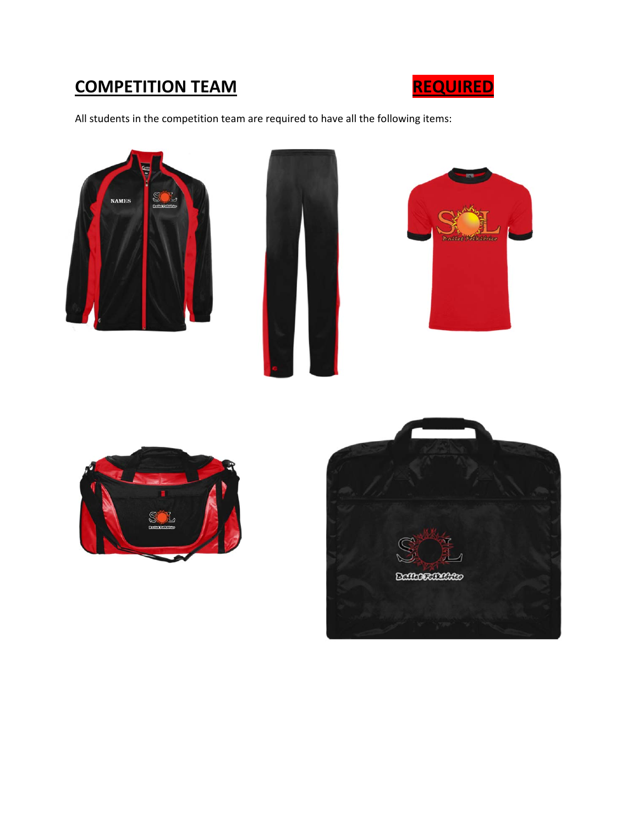## **COMPETITION TEAM REQUIRED**



All students in the competition team are required to have all the following items: